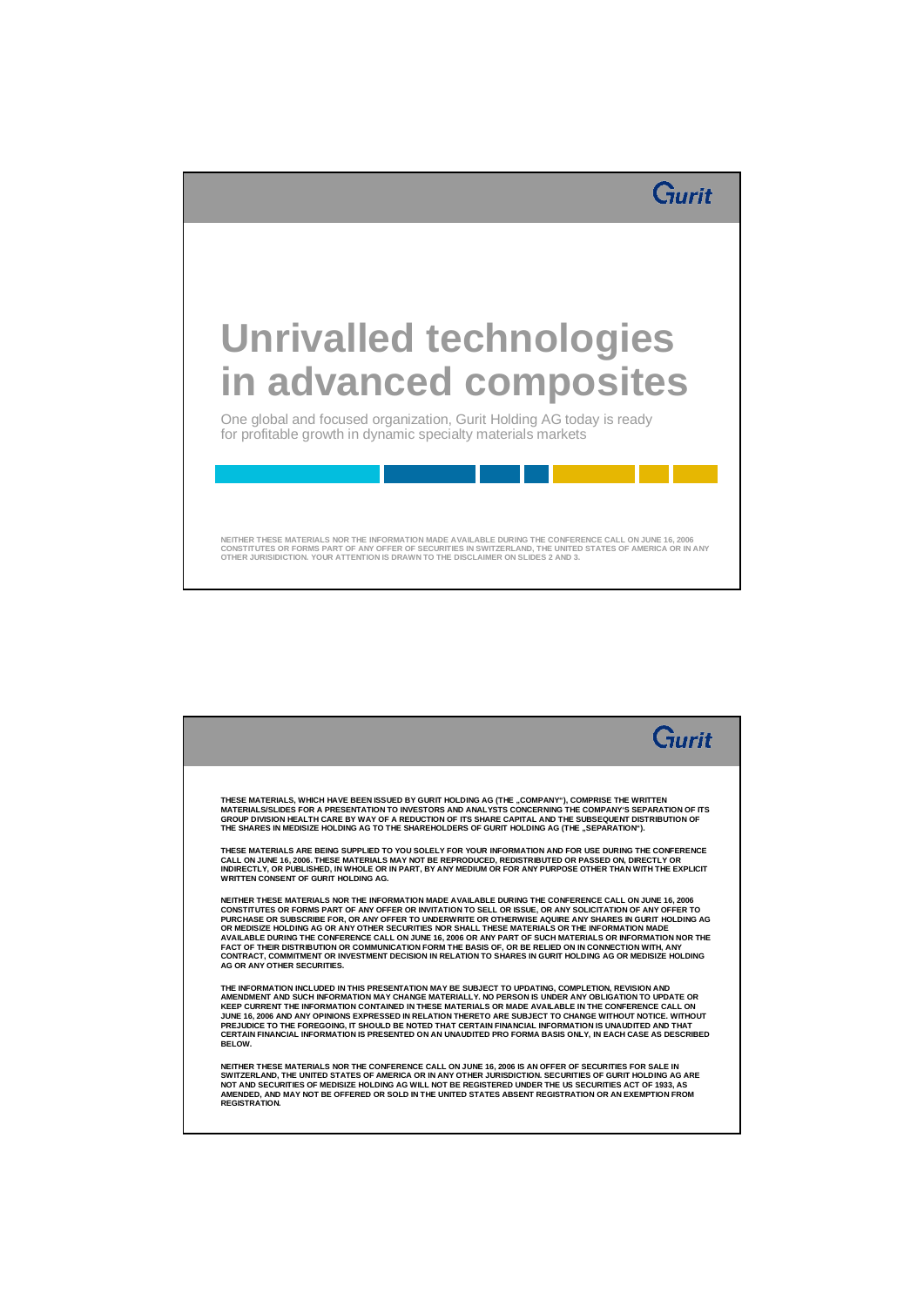

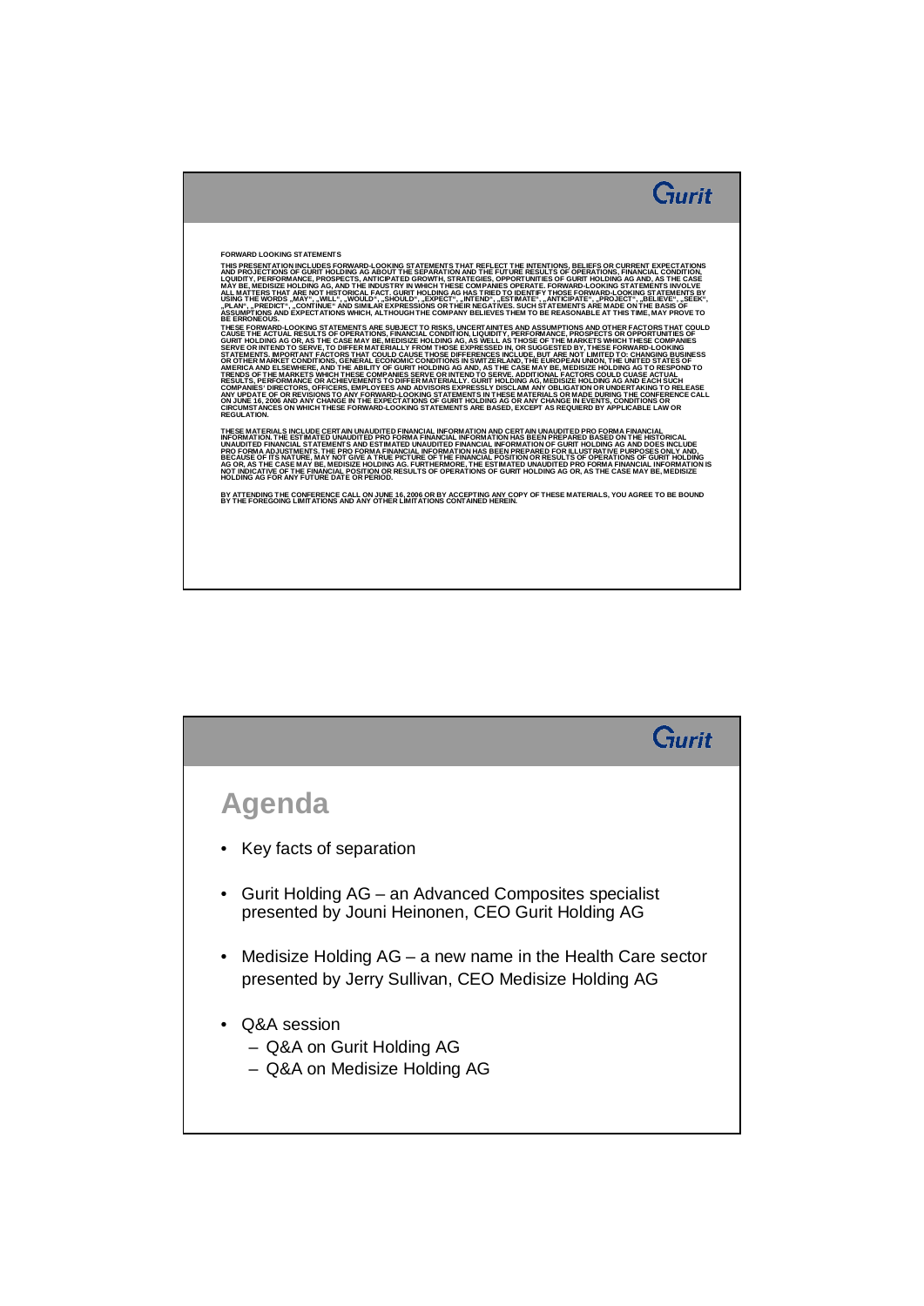

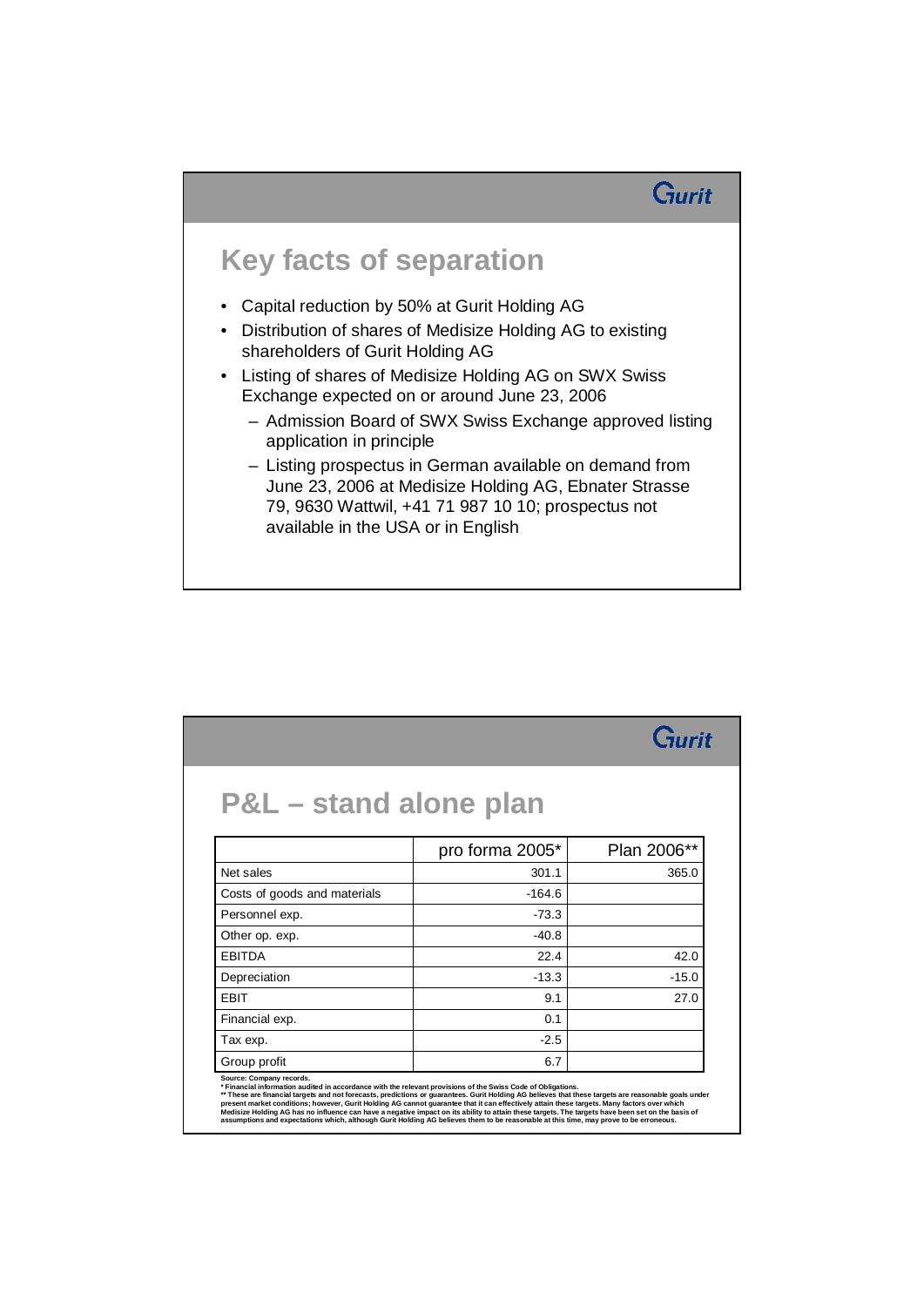#### Gurit

#### **Key facts of separation**

- Capital reduction by 50% at Gurit Holding AG
- Distribution of shares of Medisize Holding AG to existing shareholders of Gurit Holding AG
- Listing of shares of Medisize Holding AG on SWX Swiss Exchange expected on or around June 23, 2006
	- Admission Board of SWX Swiss Exchange approved listing application in principle
	- Listing prospectus in German available on demand from June 23, 2006 at Medisize Holding AG, Ebnater Strasse 79, 9630 Wattwil, +41 71 987 10 10; prospectus not available in the USA or in English

| <b>P&amp;L</b> – stand alone plan |                 |             |
|-----------------------------------|-----------------|-------------|
|                                   |                 |             |
|                                   | pro forma 2005* | Plan 2006** |
| Net sales                         | 301.1           | 365.0       |
| Costs of goods and materials      | $-164.6$        |             |
| Personnel exp.                    | $-73.3$         |             |
| Other op. exp.                    | $-40.8$         |             |
| <b>FRITDA</b>                     | 22.4            | 42.0        |
| Depreciation                      | $-13.3$         | $-15.0$     |
| <b>EBIT</b>                       | 9.1             | 27.0        |
| Financial exp.                    | 0.1             |             |
| Tax exp.                          | $-2.5$          |             |
| Group profit                      | 6.7             |             |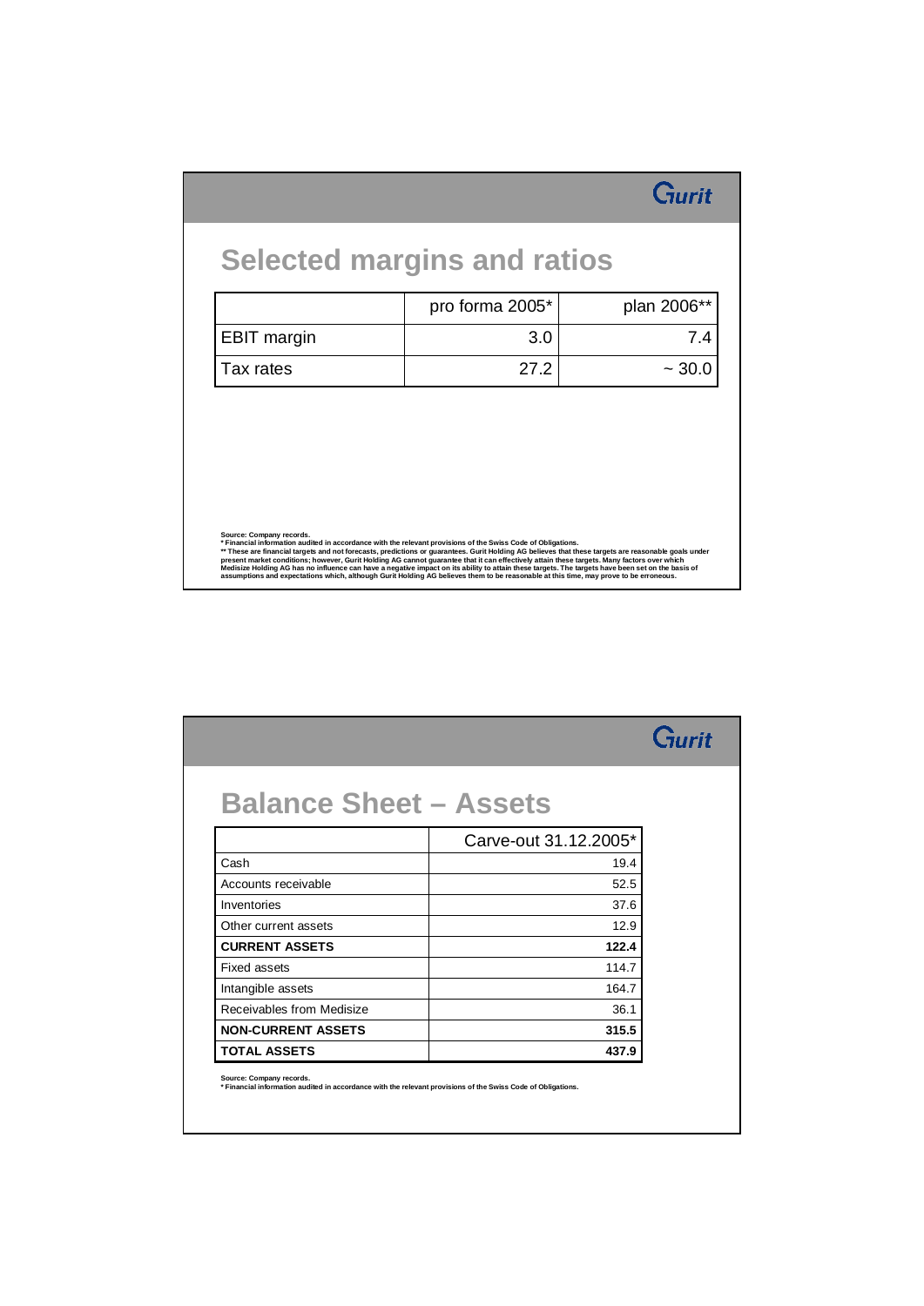|                    | pro forma 2005* | plan 2006** |
|--------------------|-----------------|-------------|
| <b>EBIT margin</b> | 3.0             | 7.4         |
| Tax rates          | 27.2            | $~1$ 30.0   |
|                    |                 |             |
|                    |                 |             |
|                    |                 |             |
|                    |                 |             |

|                               |                       | Gurit |
|-------------------------------|-----------------------|-------|
|                               |                       |       |
| <b>Balance Sheet - Assets</b> |                       |       |
|                               | Carve-out 31.12.2005* |       |
| Cash                          | 19.4                  |       |
| Accounts receivable           | 52.5                  |       |
| Inventories                   | 37.6                  |       |
| Other current assets          | 12.9                  |       |
| <b>CURRENT ASSETS</b>         | 122.4                 |       |
| <b>Fixed assets</b>           | 114.7                 |       |
| Intangible assets             | 164.7                 |       |
| Receivables from Medisize     | 36.1                  |       |
| <b>NON-CURRENT ASSETS</b>     | 315.5                 |       |
| <b>TOTAL ASSETS</b>           | 437.9                 |       |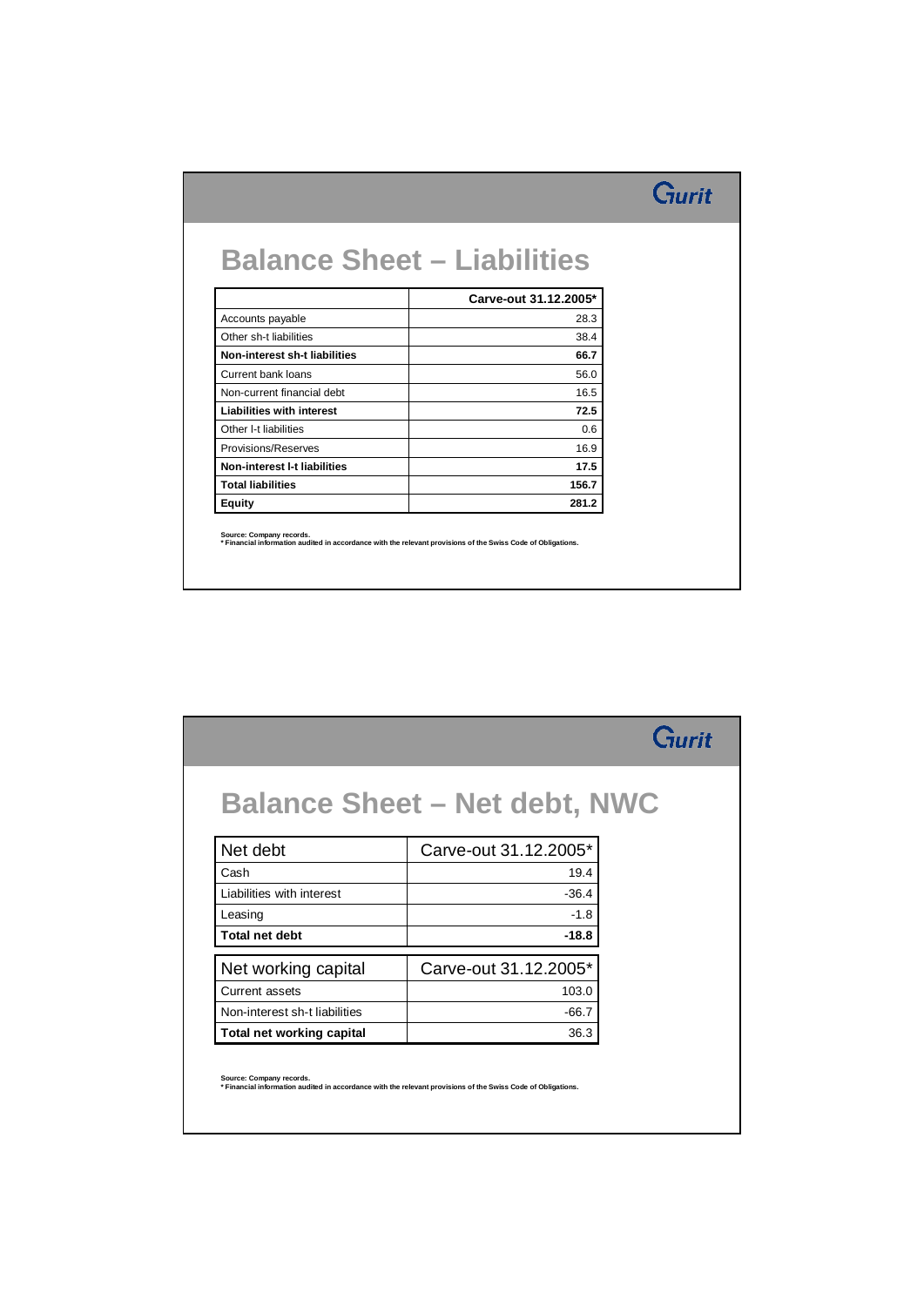## Gurit

#### **Balance Sheet – Liabilities**

|                                  | Carve-out 31.12.2005* |
|----------------------------------|-----------------------|
| Accounts payable                 | 28.3                  |
| Other sh-t liabilities           | 38.4                  |
| Non-interest sh-t liabilities    | 66.7                  |
| Current bank loans               | 56.0                  |
| Non-current financial debt       | 16.5                  |
| <b>Liabilities with interest</b> | 72.5                  |
| Other I-t liabilities            | 0.6                   |
| Provisions/Reserves              | 16.9                  |
| Non-interest I-t liabilities     | 17.5                  |
| <b>Total liabilities</b>         | 156.7                 |
| <b>Equity</b>                    | 281.2                 |

**Source: Company records. \* Financial information audited in accordance with the relevant provisions of the Swiss Code of Obligations.**

|                               | <b>Balance Sheet - Net debt, NWC</b> |  |
|-------------------------------|--------------------------------------|--|
| Net debt                      | Carve-out 31.12.2005*                |  |
| Cash                          | 19.4                                 |  |
| Liabilities with interest     | $-36.4$                              |  |
| Leasing                       | $-1.8$                               |  |
| Total net debt                | $-18.8$                              |  |
| Net working capital           | Carve-out 31.12.2005*                |  |
| Current assets                | 103.0                                |  |
| Non-interest sh-t liabilities | $-66.7$                              |  |
| Total net working capital     | 36.3                                 |  |

**Source: Company records. \* Financial information audited in accordance with the relevant provisions of the Swiss Code of Obligations.**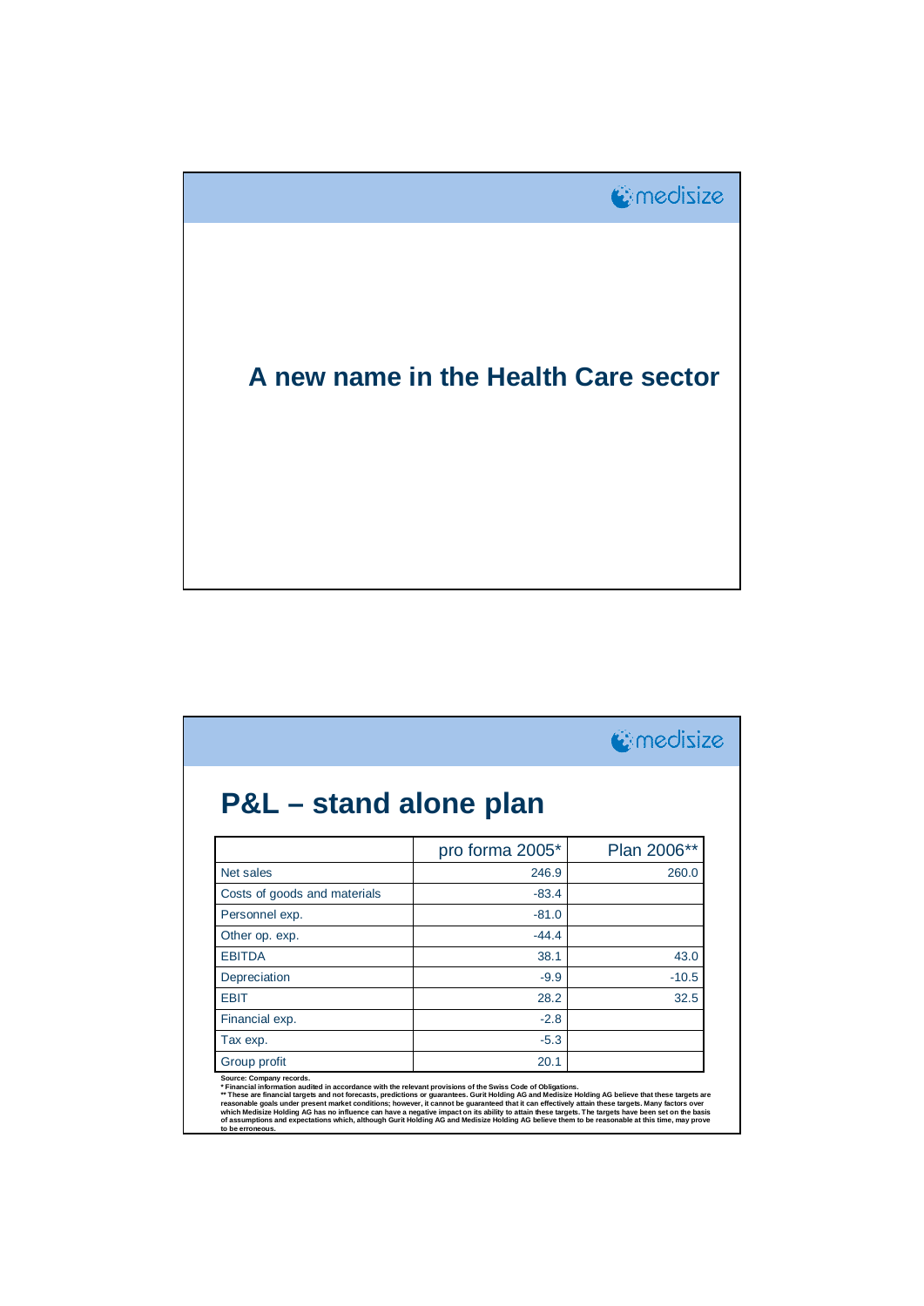

|                              | <b>C</b> medisize |             |
|------------------------------|-------------------|-------------|
| P&L – stand alone plan       |                   |             |
|                              | pro forma 2005*   | Plan 2006** |
| Net sales                    | 246.9             | 260.0       |
| Costs of goods and materials | $-83.4$           |             |
| Personnel exp.               | $-81.0$           |             |
| Other op. exp.               | $-44.4$           |             |
| <b>EBITDA</b>                | 38.1              | 43.0        |
| Depreciation                 | $-9.9$            | $-10.5$     |
| <b>FRIT</b>                  | 28.2              | 32.5        |
| Financial exp.               | $-2.8$            |             |
| Tax exp.                     | $-5.3$            |             |
| Group profit                 | 20.1              |             |

\* Financial information audited in accordance with the relevant provisions of the Swiss Code of Obligations.<br>\*\* These are financial targets and not forecasts, predictions or guarantees. Gurit Holding AG and Medisize Holdin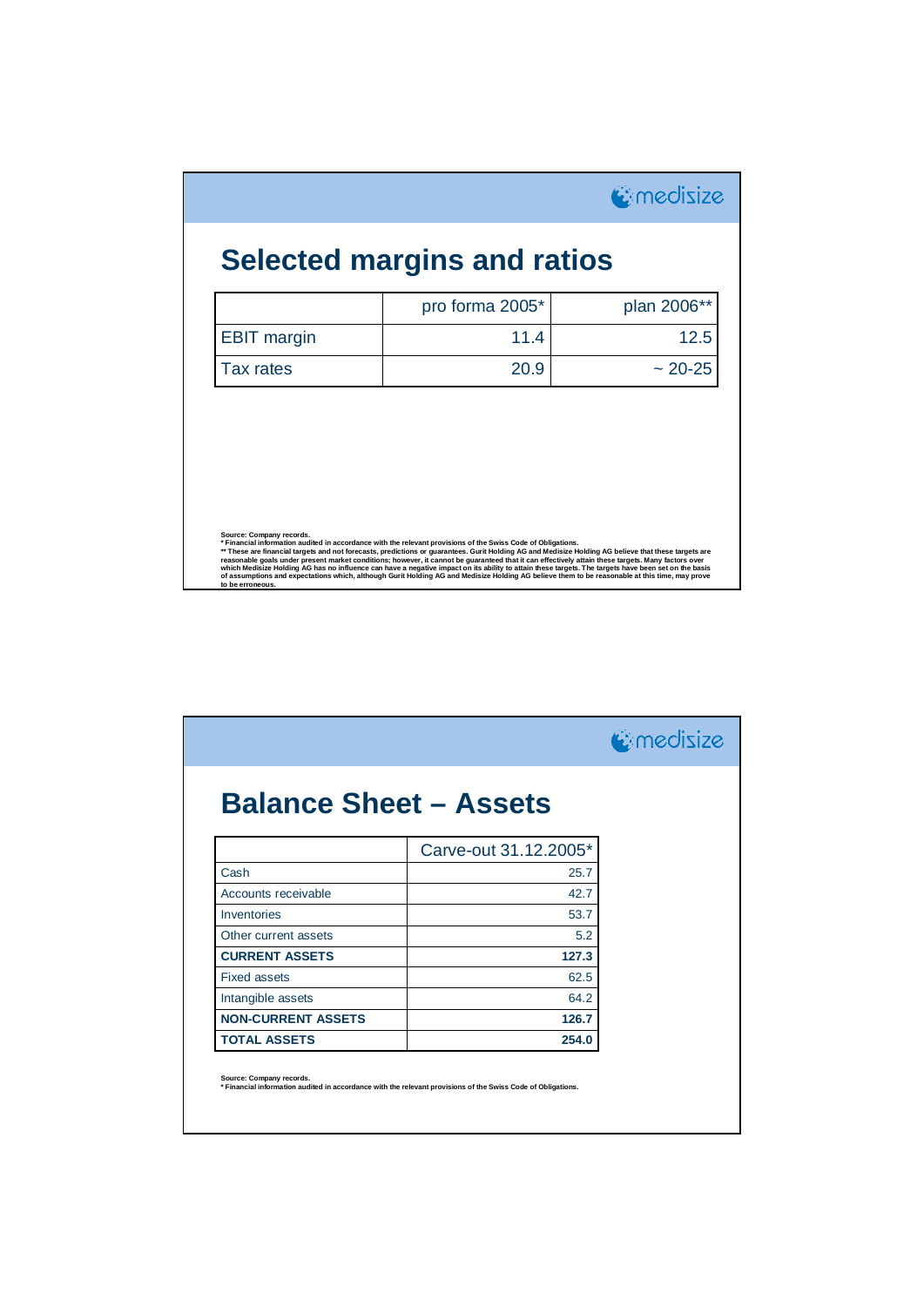|                    | pro forma 2005* | plan 2006** |
|--------------------|-----------------|-------------|
| <b>EBIT margin</b> | 11.4            | 12.5        |
| Tax rates          | 20.9            | $~20 - 25$  |
|                    |                 |             |
|                    |                 |             |

|                               |                       | <b>C</b> medisize |
|-------------------------------|-----------------------|-------------------|
| <b>Balance Sheet - Assets</b> |                       |                   |
|                               | Carve-out 31.12.2005* |                   |
| Cash                          | 25.7                  |                   |
| Accounts receivable           | 42.7                  |                   |
| Inventories                   | 53.7                  |                   |
| Other current assets          | 5.2                   |                   |
| <b>CURRENT ASSETS</b>         | 127.3                 |                   |
| <b>Fixed assets</b>           | 62.5                  |                   |
| Intangible assets             | 64.2                  |                   |
| <b>NON-CURRENT ASSETS</b>     | 126.7                 |                   |
| <b>TOTAL ASSETS</b>           | 254.0                 |                   |